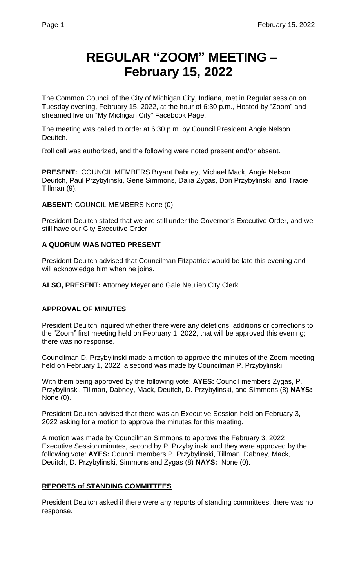# **REGULAR "ZOOM" MEETING – February 15, 2022**

The Common Council of the City of Michigan City, Indiana, met in Regular session on Tuesday evening, February 15, 2022, at the hour of 6:30 p.m., Hosted by "Zoom" and streamed live on "My Michigan City" Facebook Page.

The meeting was called to order at 6:30 p.m. by Council President Angie Nelson Deuitch.

Roll call was authorized, and the following were noted present and/or absent.

**PRESENT:** COUNCIL MEMBERS Bryant Dabney, Michael Mack, Angie Nelson Deuitch, Paul Przybylinski, Gene Simmons, Dalia Zygas, Don Przybylinski, and Tracie Tillman (9).

**ABSENT:** COUNCIL MEMBERS None (0).

President Deuitch stated that we are still under the Governor's Executive Order, and we still have our City Executive Order

# **A QUORUM WAS NOTED PRESENT**

President Deuitch advised that Councilman Fitzpatrick would be late this evening and will acknowledge him when he joins.

**ALSO, PRESENT:** Attorney Meyer and Gale Neulieb City Clerk

# **APPROVAL OF MINUTES**

President Deuitch inquired whether there were any deletions, additions or corrections to the "Zoom" first meeting held on February 1, 2022, that will be approved this evening; there was no response.

Councilman D. Przybylinski made a motion to approve the minutes of the Zoom meeting held on February 1, 2022, a second was made by Councilman P. Przybylinski.

With them being approved by the following vote: **AYES:** Council members Zygas, P. Przybylinski, Tillman, Dabney, Mack, Deuitch, D. Przybylinski, and Simmons (8) **NAYS:**  None (0).

President Deuitch advised that there was an Executive Session held on February 3, 2022 asking for a motion to approve the minutes for this meeting.

A motion was made by Councilman Simmons to approve the February 3, 2022 Executive Session minutes, second by P. Przybylinski and they were approved by the following vote: **AYES:** Council members P. Przybylinski, Tillman, Dabney, Mack, Deuitch, D. Przybylinski, Simmons and Zygas (8) **NAYS:** None (0).

# **REPORTS of STANDING COMMITTEES**

President Deuitch asked if there were any reports of standing committees, there was no response.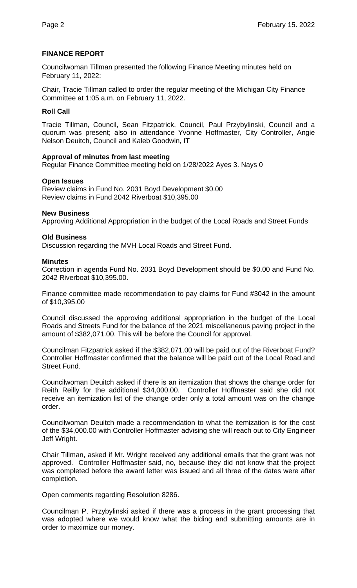# **FINANCE REPORT**

Councilwoman Tillman presented the following Finance Meeting minutes held on February 11, 2022:

Chair, Tracie Tillman called to order the regular meeting of the Michigan City Finance Committee at 1:05 a.m. on February 11, 2022.

# **Roll Call**

Tracie Tillman, Council, Sean Fitzpatrick, Council, Paul Przybylinski, Council and a quorum was present; also in attendance Yvonne Hoffmaster, City Controller, Angie Nelson Deuitch, Council and Kaleb Goodwin, IT

# **Approval of minutes from last meeting**

Regular Finance Committee meeting held on 1/28/2022 Ayes 3. Nays 0

# **Open Issues**

Review claims in Fund No. 2031 Boyd Development \$0.00 Review claims in Fund 2042 Riverboat \$10,395.00

# **New Business**

Approving Additional Appropriation in the budget of the Local Roads and Street Funds

# **Old Business**

Discussion regarding the MVH Local Roads and Street Fund.

#### **Minutes**

Correction in agenda Fund No. 2031 Boyd Development should be \$0.00 and Fund No. 2042 Riverboat \$10,395.00.

Finance committee made recommendation to pay claims for Fund #3042 in the amount of \$10,395.00

Council discussed the approving additional appropriation in the budget of the Local Roads and Streets Fund for the balance of the 2021 miscellaneous paving project in the amount of \$382,071.00. This will be before the Council for approval.

Councilman Fitzpatrick asked if the \$382,071.00 will be paid out of the Riverboat Fund? Controller Hoffmaster confirmed that the balance will be paid out of the Local Road and Street Fund.

Councilwoman Deuitch asked if there is an itemization that shows the change order for Reith Reilly for the additional \$34,000.00. Controller Hoffmaster said she did not receive an itemization list of the change order only a total amount was on the change order.

Councilwoman Deuitch made a recommendation to what the itemization is for the cost of the \$34,000.00 with Controller Hoffmaster advising she will reach out to City Engineer Jeff Wright.

Chair Tillman, asked if Mr. Wright received any additional emails that the grant was not approved. Controller Hoffmaster said, no, because they did not know that the project was completed before the award letter was issued and all three of the dates were after completion.

Open comments regarding Resolution 8286.

Councilman P. Przybylinski asked if there was a process in the grant processing that was adopted where we would know what the biding and submitting amounts are in order to maximize our money.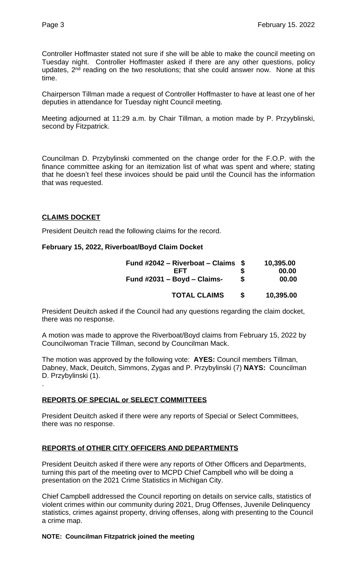Controller Hoffmaster stated not sure if she will be able to make the council meeting on Tuesday night. Controller Hoffmaster asked if there are any other questions, policy updates, 2<sup>nd</sup> reading on the two resolutions; that she could answer now. None at this time.

Chairperson Tillman made a request of Controller Hoffmaster to have at least one of her deputies in attendance for Tuesday night Council meeting.

Meeting adjourned at 11:29 a.m. by Chair Tillman, a motion made by P. Przyyblinski, second by Fitzpatrick.

Councilman D. Przybylinski commented on the change order for the F.O.P. with the finance committee asking for an itemization list of what was spent and where; stating that he doesn't feel these invoices should be paid until the Council has the information that was requested.

# **CLAIMS DOCKET**

.

President Deuitch read the following claims for the record.

# **February 15, 2022, Riverboat/Boyd Claim Docket**

| Fund #2042 – Riverboat – Claims $$$<br>FFT<br>Fund $\#2031 - Boyd - Claims$ - | S<br>S | 10,395.00<br>00.00<br>00.00 |
|-------------------------------------------------------------------------------|--------|-----------------------------|
| <b>TOTAL CLAIMS</b>                                                           |        | 10.395.00                   |

President Deuitch asked if the Council had any questions regarding the claim docket, there was no response.

A motion was made to approve the Riverboat/Boyd claims from February 15, 2022 by Councilwoman Tracie Tillman, second by Councilman Mack.

The motion was approved by the following vote: **AYES:** Council members Tillman, Dabney, Mack, Deuitch, Simmons, Zygas and P. Przybylinski (7) **NAYS:** Councilman D. Przybylinski (1).

# **REPORTS OF SPECIAL or SELECT COMMITTEES**

President Deuitch asked if there were any reports of Special or Select Committees, there was no response.

# **REPORTS of OTHER CITY OFFICERS AND DEPARTMENTS**

President Deuitch asked if there were any reports of Other Officers and Departments, turning this part of the meeting over to MCPD Chief Campbell who will be doing a presentation on the 2021 Crime Statistics in Michigan City.

Chief Campbell addressed the Council reporting on details on service calls, statistics of violent crimes within our community during 2021, Drug Offenses, Juvenile Delinquency statistics, crimes against property, driving offenses, along with presenting to the Council a crime map.

#### **NOTE: Councilman Fitzpatrick joined the meeting**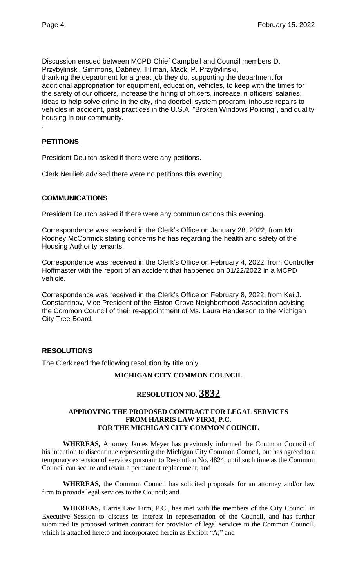Discussion ensued between MCPD Chief Campbell and Council members D. Przybylinski, Simmons, Dabney, Tillman, Mack, P. Przybylinski, thanking the department for a great job they do, supporting the department for additional appropriation for equipment, education, vehicles, to keep with the times for the safety of our officers, increase the hiring of officers, increase in officers' salaries, ideas to help solve crime in the city, ring doorbell system program, inhouse repairs to vehicles in accident, past practices in the U.S.A. "Broken Windows Policing", and quality housing in our community.

# **PETITIONS**

.

President Deuitch asked if there were any petitions.

Clerk Neulieb advised there were no petitions this evening.

# **COMMUNICATIONS**

President Deuitch asked if there were any communications this evening.

Correspondence was received in the Clerk's Office on January 28, 2022, from Mr. Rodney McCormick stating concerns he has regarding the health and safety of the Housing Authority tenants.

Correspondence was received in the Clerk's Office on February 4, 2022, from Controller Hoffmaster with the report of an accident that happened on 01/22/2022 in a MCPD vehicle.

Correspondence was received in the Clerk's Office on February 8, 2022, from Kei J. Constantinov, Vice President of the Elston Grove Neighborhood Association advising the Common Council of their re-appointment of Ms. Laura Henderson to the Michigan City Tree Board.

# **RESOLUTIONS**

The Clerk read the following resolution by title only.

#### **MICHIGAN CITY COMMON COUNCIL**

# **RESOLUTION NO. 3832**

#### **APPROVING THE PROPOSED CONTRACT FOR LEGAL SERVICES FROM HARRIS LAW FIRM, P.C. FOR THE MICHIGAN CITY COMMON COUNCIL**

**WHEREAS,** Attorney James Meyer has previously informed the Common Council of his intention to discontinue representing the Michigan City Common Council, but has agreed to a temporary extension of services pursuant to Resolution No. 4824, until such time as the Common Council can secure and retain a permanent replacement; and

**WHEREAS,** the Common Council has solicited proposals for an attorney and/or law firm to provide legal services to the Council; and

**WHEREAS,** Harris Law Firm, P.C., has met with the members of the City Council in Executive Session to discuss its interest in representation of the Council, and has further submitted its proposed written contract for provision of legal services to the Common Council, which is attached hereto and incorporated herein as Exhibit "A;" and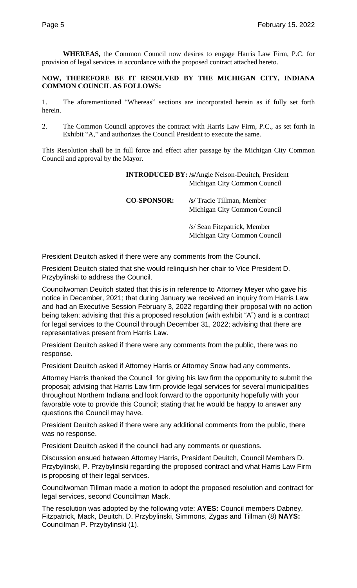**WHEREAS,** the Common Council now desires to engage Harris Law Firm, P.C. for provision of legal services in accordance with the proposed contract attached hereto.

#### **NOW, THEREFORE BE IT RESOLVED BY THE MICHIGAN CITY, INDIANA COMMON COUNCIL AS FOLLOWS:**

1. The aforementioned "Whereas" sections are incorporated herein as if fully set forth herein.

2. The Common Council approves the contract with Harris Law Firm, P.C., as set forth in Exhibit "A," and authorizes the Council President to execute the same.

This Resolution shall be in full force and effect after passage by the Michigan City Common Council and approval by the Mayor.

> **INTRODUCED BY: /s/**Angie Nelson-Deuitch, President Michigan City Common Council

**CO-SPONSOR: /s/** Tracie Tillman, Member Michigan City Common Council

> /s/ Sean Fitzpatrick, Member Michigan City Common Council

President Deuitch asked if there were any comments from the Council.

President Deuitch stated that she would relinquish her chair to Vice President D. Przybylinski to address the Council.

Councilwoman Deuitch stated that this is in reference to Attorney Meyer who gave his notice in December, 2021; that during January we received an inquiry from Harris Law and had an Executive Session February 3, 2022 regarding their proposal with no action being taken; advising that this a proposed resolution (with exhibit "A") and is a contract for legal services to the Council through December 31, 2022; advising that there are representatives present from Harris Law.

President Deuitch asked if there were any comments from the public, there was no response.

President Deuitch asked if Attorney Harris or Attorney Snow had any comments.

Attorney Harris thanked the Council for giving his law firm the opportunity to submit the proposal; advising that Harris Law firm provide legal services for several municipalities throughout Northern Indiana and look forward to the opportunity hopefully with your favorable vote to provide this Council; stating that he would be happy to answer any questions the Council may have.

President Deuitch asked if there were any additional comments from the public, there was no response.

President Deuitch asked if the council had any comments or questions.

Discussion ensued between Attorney Harris, President Deuitch, Council Members D. Przybylinski, P. Przybylinski regarding the proposed contract and what Harris Law Firm is proposing of their legal services.

Councilwoman Tillman made a motion to adopt the proposed resolution and contract for legal services, second Councilman Mack.

The resolution was adopted by the following vote: **AYES:** Council members Dabney, Fitzpatrick, Mack, Deuitch, D. Przybylinski, Simmons, Zygas and Tillman (8) **NAYS:**  Councilman P. Przybylinski (1).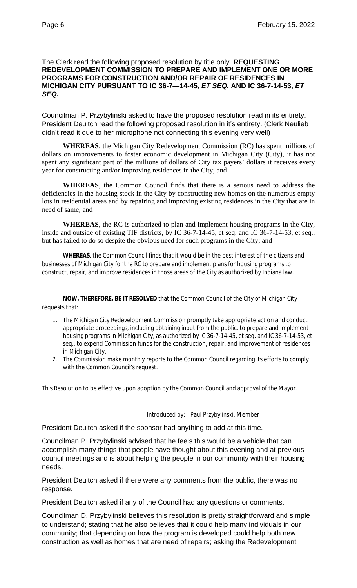#### The Clerk read the following proposed resolution by title only. **REQUESTING REDEVELOPMENT COMMISSION TO PREPARE AND IMPLEMENT ONE OR MORE PROGRAMS FOR CONSTRUCTION AND/OR REPAIR OF RESIDENCES IN MICHIGAN CITY PURSUANT TO IC 36-7—14-45,** *ET SEQ.* **AND IC 36-7-14-53,** *ET SEQ.*

Councilman P. Przybylinski asked to have the proposed resolution read in its entirety. President Deuitch read the following proposed resolution in it's entirety. (Clerk Neulieb didn't read it due to her microphone not connecting this evening very well)

**WHEREAS**, the Michigan City Redevelopment Commission (RC) has spent millions of dollars on improvements to foster economic development in Michigan City (City), it has not spent any significant part of the millions of dollars of City tax payers' dollars it receives every year for constructing and/or improving residences in the City; and

**WHEREAS**, the Common Council finds that there is a serious need to address the deficiencies in the housing stock in the City by constructing new homes on the numerous empty lots in residential areas and by repairing and improving existing residences in the City that are in need of same; and

**WHEREAS**, the RC is authorized to plan and implement housing programs in the City, inside and outside of existing TIF districts, by IC 36-7-14-45, et seq. and IC 36-7-14-53, et seq., but has failed to do so despite the obvious need for such programs in the City; and

**WHEREAS**, the Common Council finds that it would be in the best interest of the citizens and businesses of Michigan City for the RC to prepare and implement plans for housing programs to construct, repair, and improve residences in those areas of the City as authorized by Indiana law.

**NOW, THEREFORE, BE IT RESOLVED** that the Common Council of the City of Michigan City requests that:

- 1. The Michigan City Redevelopment Commission promptly take appropriate action and conduct appropriate proceedings, including obtaining input from the public, to prepare and implement housing programs in Michigan City, as authorized by IC 36-7-14-45, et seq. and IC 36-7-14-53, et seq., to expend Commission funds for the construction, repair, and improvement of residences in Michigan City.
- 2. The Commission make monthly reports to the Common Council regarding its efforts to comply with the Common Council's request.

This Resolution to be effective upon adoption by the Common Council and approval of the Mayor.

Introduced by: Paul Przybylinski. Member

President Deuitch asked if the sponsor had anything to add at this time.

Councilman P. Przybylinski advised that he feels this would be a vehicle that can accomplish many things that people have thought about this evening and at previous council meetings and is about helping the people in our community with their housing needs.

President Deuitch asked if there were any comments from the public, there was no response.

President Deuitch asked if any of the Council had any questions or comments.

Councilman D. Przybylinski believes this resolution is pretty straightforward and simple to understand; stating that he also believes that it could help many individuals in our community; that depending on how the program is developed could help both new construction as well as homes that are need of repairs; asking the Redevelopment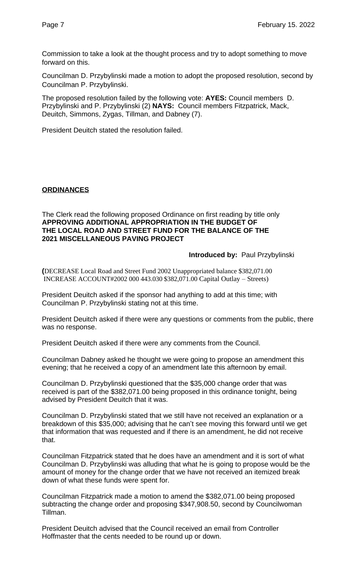Commission to take a look at the thought process and try to adopt something to move forward on this.

Councilman D. Przybylinski made a motion to adopt the proposed resolution, second by Councilman P. Przybylinski.

The proposed resolution failed by the following vote: **AYES:** Council members D. Przybylinski and P. Przybylinski (2) **NAYS:** Council members Fitzpatrick, Mack, Deuitch, Simmons, Zygas, Tillman, and Dabney (7).

President Deuitch stated the resolution failed.

# **ORDINANCES**

#### The Clerk read the following proposed Ordinance on first reading by title only **APPROVING ADDITIONAL APPROPRIATION IN THE BUDGET OF THE LOCAL ROAD AND STREET FUND FOR THE BALANCE OF THE 2021 MISCELLANEOUS PAVING PROJECT**

#### **Introduced by:** Paul Przybylinski

**(**DECREASE Local Road and Street Fund 2002 Unappropriated balance \$382,071.00 INCREASE ACCOUNT#2002 000 443.030 \$382,071.00 Capital Outlay – Streets)

President Deuitch asked if the sponsor had anything to add at this time; with Councilman P. Przybylinski stating not at this time.

President Deuitch asked if there were any questions or comments from the public, there was no response.

President Deuitch asked if there were any comments from the Council.

Councilman Dabney asked he thought we were going to propose an amendment this evening; that he received a copy of an amendment late this afternoon by email.

Councilman D. Przybylinski questioned that the \$35,000 change order that was received is part of the \$382,071.00 being proposed in this ordinance tonight, being advised by President Deuitch that it was.

Councilman D. Przybylinski stated that we still have not received an explanation or a breakdown of this \$35,000; advising that he can't see moving this forward until we get that information that was requested and if there is an amendment, he did not receive that.

Councilman Fitzpatrick stated that he does have an amendment and it is sort of what Councilman D. Przybylinski was alluding that what he is going to propose would be the amount of money for the change order that we have not received an itemized break down of what these funds were spent for.

Councilman Fitzpatrick made a motion to amend the \$382,071.00 being proposed subtracting the change order and proposing \$347,908.50, second by Councilwoman Tillman.

President Deuitch advised that the Council received an email from Controller Hoffmaster that the cents needed to be round up or down.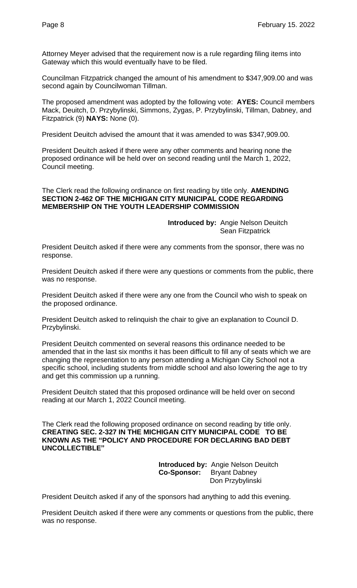Attorney Meyer advised that the requirement now is a rule regarding filing items into Gateway which this would eventually have to be filed.

Councilman Fitzpatrick changed the amount of his amendment to \$347,909.00 and was second again by Councilwoman Tillman.

The proposed amendment was adopted by the following vote: **AYES:** Council members Mack, Deuitch, D. Przybylinski, Simmons, Zygas, P. Przybylinski, Tillman, Dabney, and Fitzpatrick (9) **NAYS:** None (0).

President Deuitch advised the amount that it was amended to was \$347,909.00.

President Deuitch asked if there were any other comments and hearing none the proposed ordinance will be held over on second reading until the March 1, 2022, Council meeting.

The Clerk read the following ordinance on first reading by title only. **AMENDING SECTION 2-462 OF THE MICHIGAN CITY MUNICIPAL CODE REGARDING MEMBERSHIP ON THE YOUTH LEADERSHIP COMMISSION**

> **Introduced by:** Angie Nelson Deuitch Sean Fitzpatrick

President Deuitch asked if there were any comments from the sponsor, there was no response.

President Deuitch asked if there were any questions or comments from the public, there was no response.

President Deuitch asked if there were any one from the Council who wish to speak on the proposed ordinance.

President Deuitch asked to relinquish the chair to give an explanation to Council D. Przybylinski.

President Deuitch commented on several reasons this ordinance needed to be amended that in the last six months it has been difficult to fill any of seats which we are changing the representation to any person attending a Michigan City School not a specific school, including students from middle school and also lowering the age to try and get this commission up a running.

President Deuitch stated that this proposed ordinance will be held over on second reading at our March 1, 2022 Council meeting.

The Clerk read the following proposed ordinance on second reading by title only. **CREATING SEC. 2-327 IN THE MICHIGAN CITY MUNICIPAL CODE TO BE KNOWN AS THE "POLICY AND PROCEDURE FOR DECLARING BAD DEBT UNCOLLECTIBLE"**

> **Introduced by:** Angie Nelson Deuitch **Co-Sponsor:** Bryant Dabney Don Przybylinski

President Deuitch asked if any of the sponsors had anything to add this evening.

President Deuitch asked if there were any comments or questions from the public, there was no response.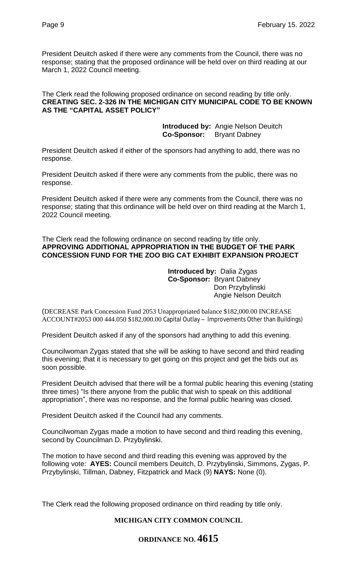President Deuitch asked if there were any comments from the Council, there was no response; stating that the proposed ordinance will be held over on third reading at our March 1, 2022 Council meeting.

The Clerk read the following proposed ordinance on second reading by title only. **CREATING SEC. 2-326 IN THE MICHIGAN CITY MUNICIPAL CODE TO BE KNOWN AS THE "CAPITAL ASSET POLICY"**

> **Introduced by:** Angie Nelson Deuitch  **Co-Sponsor:** Bryant Dabney

President Deuitch asked if either of the sponsors had anything to add, there was no response.

President Deuitch asked if there were any comments from the public, there was no response.

President Deuitch asked if there were any comments from the Council, there was no response; stating that this ordinance will be held over on third reading at the March 1, 2022 Council meeting.

#### The Clerk read the following ordinance on second reading by title only. **APPROVING ADDITIONAL APPROPRIATION IN THE BUDGET OF THE PARK CONCESSION FUND FOR THE ZOO BIG CAT EXHIBIT EXPANSION PROJECT**

#### **Introduced by:** Dalia Zygas **Co-Sponsor:** Bryant Dabney Don Przybylinski Angie Nelson Deuitch

(DECREASE Park Concession Fund 2053 Unappropriated balance \$182,000.00 INCREASE ACCOUNT#2053 000 444.050 \$182,000.00 Capital Outlay – Improvements Other than Buildings)

President Deuitch asked if any of the sponsors had anything to add this evening.

Councilwoman Zygas stated that she will be asking to have second and third reading this evening; that it is necessary to get going on this project and get the bids out as soon possible.

President Deuitch advised that there will be a formal public hearing this evening (stating three times) "Is there anyone from the public that wish to speak on this additional appropriation", there was no response, and the formal public hearing was closed.

President Deuitch asked if the Council had any comments.

Councilwoman Zygas made a motion to have second and third reading this evening, second by Councilman D. Przybylinski.

The motion to have second and third reading this evening was approved by the following vote: **AYES:** Council members Deuitch, D. Przybylinski, Simmons, Zygas, P. Przybylinski, Tillman, Dabney, Fitzpatrick and Mack (9) **NAYS:** None (0).

The Clerk read the following proposed ordinance on third reading by title only.

# **MICHIGAN CITY COMMON COUNCIL**

# **ORDINANCE NO. 4615**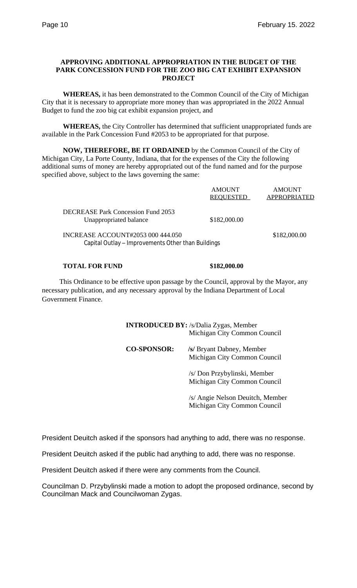# **APPROVING ADDITIONAL APPROPRIATION IN THE BUDGET OF THE PARK CONCESSION FUND FOR THE ZOO BIG CAT EXHIBIT EXPANSION PROJECT**

**WHEREAS,** it has been demonstrated to the Common Council of the City of Michigan City that it is necessary to appropriate more money than was appropriated in the 2022 Annual Budget to fund the zoo big cat exhibit expansion project, and

**WHEREAS,** the City Controller has determined that sufficient unappropriated funds are available in the Park Concession Fund #2053 to be appropriated for that purpose.

**NOW, THEREFORE, BE IT ORDAINED** by the Common Council of the City of Michigan City, La Porte County, Indiana, that for the expenses of the City the following additional sums of money are hereby appropriated out of the fund named and for the purpose specified above, subject to the laws governing the same:

|                                                                                         | <b>AMOUNT</b><br><b>REQUESTED</b> | <b>AMOUNT</b><br>APPROPRIATED |
|-----------------------------------------------------------------------------------------|-----------------------------------|-------------------------------|
| <b>DECREASE Park Concession Fund 2053</b><br>Unappropriated balance                     | \$182,000.00                      |                               |
| INCREASE ACCOUNT#2053 000 444.050<br>Capital Outlay – Improvements Other than Buildings |                                   | \$182,000.00                  |

#### **TOTAL FOR FUND \$182,000.00**

 This Ordinance to be effective upon passage by the Council, approval by the Mayor, any necessary publication, and any necessary approval by the Indiana Department of Local Government Finance.

> **INTRODUCED BY:** /s/Dalia Zygas, Member Michigan City Common Council

> **CO-SPONSOR: /s/** Bryant Dabney, Member Michigan City Common Council

> > /s/ Don Przybylinski, Member Michigan City Common Council

/s/ Angie Nelson Deuitch, Member Michigan City Common Council

President Deuitch asked if the sponsors had anything to add, there was no response.

President Deuitch asked if the public had anything to add, there was no response.

President Deuitch asked if there were any comments from the Council.

Councilman D. Przybylinski made a motion to adopt the proposed ordinance, second by Councilman Mack and Councilwoman Zygas.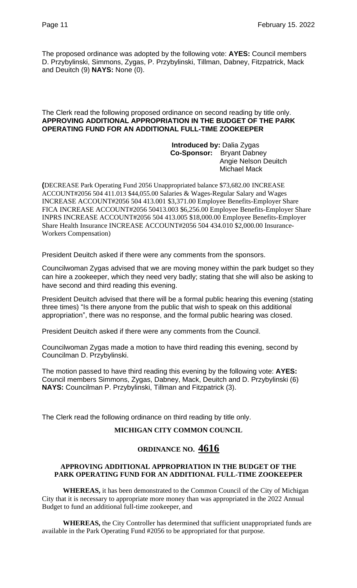The proposed ordinance was adopted by the following vote: **AYES:** Council members D. Przybylinski, Simmons, Zygas, P. Przybylinski, Tillman, Dabney, Fitzpatrick, Mack and Deuitch (9) **NAYS:** None (0).

#### The Clerk read the following proposed ordinance on second reading by title only. **APPROVING ADDITIONAL APPROPRIATION IN THE BUDGET OF THE PARK OPERATING FUND FOR AN ADDITIONAL FULL-TIME ZOOKEEPER**

 **Introduced by:** Dalia Zygas  **Co-Sponsor:** Bryant Dabney Angie Nelson Deuitch Michael Mack

**(**DECREASE Park Operating Fund 2056 Unappropriated balance \$73,682.00 INCREASE ACCOUNT#2056 504 411.013 \$44,055.00 Salaries & Wages-Regular Salary and Wages INCREASE ACCOUNT#2056 504 413.001 \$3,371.00 Employee Benefits-Employer Share FICA INCREASE ACCOUNT#2056 50413.003 \$6,256.00 Employee Benefits-Employer Share INPRS INCREASE ACCOUNT#2056 504 413.005 \$18,000.00 Employee Benefits-Employer Share Health Insurance INCREASE ACCOUNT#2056 504 434.010 \$2,000.00 Insurance-Workers Compensation)

President Deuitch asked if there were any comments from the sponsors.

Councilwoman Zygas advised that we are moving money within the park budget so they can hire a zookeeper, which they need very badly; stating that she will also be asking to have second and third reading this evening.

President Deuitch advised that there will be a formal public hearing this evening (stating three times) "Is there anyone from the public that wish to speak on this additional appropriation", there was no response, and the formal public hearing was closed.

President Deuitch asked if there were any comments from the Council.

Councilwoman Zygas made a motion to have third reading this evening, second by Councilman D. Przybylinski.

The motion passed to have third reading this evening by the following vote: **AYES:**  Council members Simmons, Zygas, Dabney, Mack, Deuitch and D. Przybylinski (6) **NAYS:** Councilman P. Przybylinski, Tillman and Fitzpatrick (3).

The Clerk read the following ordinance on third reading by title only.

# **MICHIGAN CITY COMMON COUNCIL**

# **ORDINANCE NO. 4616**

#### **APPROVING ADDITIONAL APPROPRIATION IN THE BUDGET OF THE PARK OPERATING FUND FOR AN ADDITIONAL FULL-TIME ZOOKEEPER**

**WHEREAS,** it has been demonstrated to the Common Council of the City of Michigan City that it is necessary to appropriate more money than was appropriated in the 2022 Annual Budget to fund an additional full-time zookeeper, and

**WHEREAS,** the City Controller has determined that sufficient unappropriated funds are available in the Park Operating Fund #2056 to be appropriated for that purpose.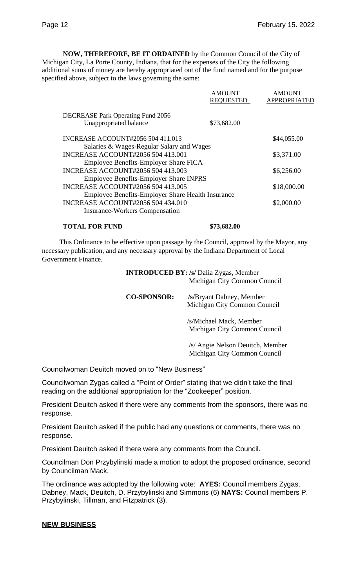**NOW, THEREFORE, BE IT ORDAINED** by the Common Council of the City of Michigan City, La Porte County, Indiana, that for the expenses of the City the following additional sums of money are hereby appropriated out of the fund named and for the purpose specified above, subject to the laws governing the same:

|                                                   | <b>AMOUNT</b><br><b>REQUESTED</b> | <b>AMOUNT</b><br><b>APPROPRIATED</b> |
|---------------------------------------------------|-----------------------------------|--------------------------------------|
| <b>DECREASE Park Operating Fund 2056</b>          |                                   |                                      |
| Unappropriated balance                            | \$73,682.00                       |                                      |
| <b>INCREASE ACCOUNT#2056 504 411.013</b>          |                                   | \$44,055.00                          |
| Salaries & Wages-Regular Salary and Wages         |                                   |                                      |
| <b>INCREASE ACCOUNT#2056 504 413.001</b>          |                                   | \$3,371.00                           |
| Employee Benefits-Employer Share FICA             |                                   |                                      |
| <b>INCREASE ACCOUNT#2056 504 413.003</b>          |                                   | \$6,256.00                           |
| <b>Employee Benefits-Employer Share INPRS</b>     |                                   |                                      |
| <b>INCREASE ACCOUNT#2056 504 413.005</b>          |                                   | \$18,000.00                          |
| Employee Benefits-Employer Share Health Insurance |                                   |                                      |
| <b>INCREASE ACCOUNT#2056 504 434.010</b>          |                                   | \$2,000.00                           |
| <b>Insurance-Workers Compensation</b>             |                                   |                                      |

#### **TOTAL FOR FUND \$73,682.00**

 This Ordinance to be effective upon passage by the Council, approval by the Mayor, any necessary publication, and any necessary approval by the Indiana Department of Local Government Finance.

> **INTRODUCED BY: /s/** Dalia Zygas, Member Michigan City Common Council

**CO-SPONSOR: /s/**Bryant Dabney, Member Michigan City Common Council

> /s/Michael Mack, Member Michigan City Common Council

/s/ Angie Nelson Deuitch, Member Michigan City Common Council

Councilwoman Deuitch moved on to "New Business"

Councilwoman Zygas called a "Point of Order" stating that we didn't take the final reading on the additional appropriation for the "Zookeeper" position.

President Deuitch asked if there were any comments from the sponsors, there was no response.

President Deuitch asked if the public had any questions or comments, there was no response.

President Deuitch asked if there were any comments from the Council.

Councilman Don Przybylinski made a motion to adopt the proposed ordinance, second by Councilman Mack.

The ordinance was adopted by the following vote: **AYES:** Council members Zygas, Dabney, Mack, Deuitch, D. Przybylinski and Simmons (6) **NAYS:** Council members P. Przybylinski, Tillman, and Fitzpatrick (3).

#### **NEW BUSINESS**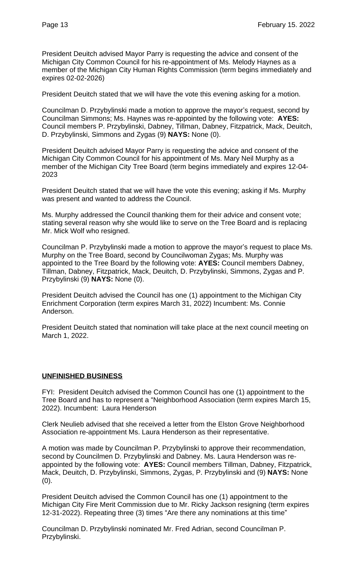President Deuitch advised Mayor Parry is requesting the advice and consent of the Michigan City Common Council for his re-appointment of Ms. Melody Haynes as a member of the Michigan City Human Rights Commission (term begins immediately and expires 02-02-2026)

President Deuitch stated that we will have the vote this evening asking for a motion.

Councilman D. Przybylinski made a motion to approve the mayor's request, second by Councilman Simmons; Ms. Haynes was re-appointed by the following vote: **AYES:**  Council members P. Przybylinski, Dabney, Tillman, Dabney, Fitzpatrick, Mack, Deuitch, D. Przybylinski, Simmons and Zygas (9) **NAYS:** None (0).

President Deuitch advised Mayor Parry is requesting the advice and consent of the Michigan City Common Council for his appointment of Ms. Mary Neil Murphy as a member of the Michigan City Tree Board (term begins immediately and expires 12-04- 2023

President Deuitch stated that we will have the vote this evening; asking if Ms. Murphy was present and wanted to address the Council.

Ms. Murphy addressed the Council thanking them for their advice and consent vote; stating several reason why she would like to serve on the Tree Board and is replacing Mr. Mick Wolf who resigned.

Councilman P. Przybylinski made a motion to approve the mayor's request to place Ms. Murphy on the Tree Board, second by Councilwoman Zygas; Ms. Murphy was appointed to the Tree Board by the following vote: **AYES:** Council members Dabney, Tillman, Dabney, Fitzpatrick, Mack, Deuitch, D. Przybylinski, Simmons, Zygas and P. Przybylinski (9) **NAYS:** None (0).

President Deuitch advised the Council has one (1) appointment to the Michigan City Enrichment Corporation (term expires March 31, 2022) Incumbent: Ms. Connie Anderson.

President Deuitch stated that nomination will take place at the next council meeting on March 1, 2022.

#### **UNFINISHED BUSINESS**

FYI: President Deuitch advised the Common Council has one (1) appointment to the Tree Board and has to represent a "Neighborhood Association (term expires March 15, 2022). Incumbent: Laura Henderson

Clerk Neulieb advised that she received a letter from the Elston Grove Neighborhood Association re-appointment Ms. Laura Henderson as their representative.

A motion was made by Councilman P. Przybylinski to approve their recommendation, second by Councilmen D. Przybylinski and Dabney. Ms. Laura Henderson was reappointed by the following vote: **AYES:** Council members Tillman, Dabney, Fitzpatrick, Mack, Deuitch, D. Przybylinski, Simmons, Zygas, P. Przybylinski and (9) **NAYS:** None (0).

President Deuitch advised the Common Council has one (1) appointment to the Michigan City Fire Merit Commission due to Mr. Ricky Jackson resigning (term expires 12-31-2022). Repeating three (3) times "Are there any nominations at this time"

Councilman D. Przybylinski nominated Mr. Fred Adrian, second Councilman P. Przybylinski.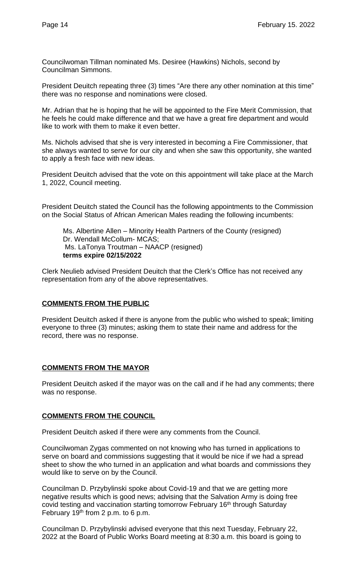Councilwoman Tillman nominated Ms. Desiree (Hawkins) Nichols, second by Councilman Simmons.

President Deuitch repeating three (3) times "Are there any other nomination at this time" there was no response and nominations were closed.

Mr. Adrian that he is hoping that he will be appointed to the Fire Merit Commission, that he feels he could make difference and that we have a great fire department and would like to work with them to make it even better.

Ms. Nichols advised that she is very interested in becoming a Fire Commissioner, that she always wanted to serve for our city and when she saw this opportunity, she wanted to apply a fresh face with new ideas.

President Deuitch advised that the vote on this appointment will take place at the March 1, 2022, Council meeting.

President Deuitch stated the Council has the following appointments to the Commission on the Social Status of African American Males reading the following incumbents:

Ms. Albertine Allen – Minority Health Partners of the County (resigned) Dr. Wendall McCollum- MCAS; Ms. LaTonya Troutman – NAACP (resigned) **terms expire 02/15/2022**

Clerk Neulieb advised President Deuitch that the Clerk's Office has not received any representation from any of the above representatives.

# **COMMENTS FROM THE PUBLIC**

President Deuitch asked if there is anyone from the public who wished to speak; limiting everyone to three (3) minutes; asking them to state their name and address for the record, there was no response.

#### **COMMENTS FROM THE MAYOR**

President Deuitch asked if the mayor was on the call and if he had any comments; there was no response.

# **COMMENTS FROM THE COUNCIL**

President Deuitch asked if there were any comments from the Council.

Councilwoman Zygas commented on not knowing who has turned in applications to serve on board and commissions suggesting that it would be nice if we had a spread sheet to show the who turned in an application and what boards and commissions they would like to serve on by the Council.

Councilman D. Przybylinski spoke about Covid-19 and that we are getting more negative results which is good news; advising that the Salvation Army is doing free covid testing and vaccination starting tomorrow February 16<sup>th</sup> through Saturday February 19th from 2 p.m. to 6 p.m.

Councilman D. Przybylinski advised everyone that this next Tuesday, February 22, 2022 at the Board of Public Works Board meeting at 8:30 a.m. this board is going to